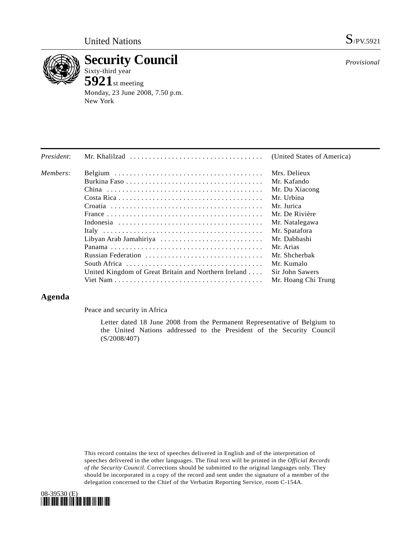

**Security Council**  Sixty-third year

**5921**st meeting Monday, 23 June 2008, 7.50 p.m. New York

*Provisional*

| President: | Mr. Khalilzad $\ldots \ldots \ldots \ldots \ldots \ldots \ldots \ldots \ldots \ldots \ldots$ | (United States of America) |
|------------|----------------------------------------------------------------------------------------------|----------------------------|
| Members:   |                                                                                              | Mrs. Delieux               |
|            |                                                                                              | Mr. Kafando                |
|            |                                                                                              | Mr. Du Xiacong             |
|            |                                                                                              | Mr. Urbina                 |
|            |                                                                                              | Mr. Jurica                 |
|            |                                                                                              | Mr. De Rivière             |
|            |                                                                                              | Mr. Natalegawa             |
|            |                                                                                              | Mr. Spatafora              |
|            | Libyan Arab Jamahiriya                                                                       | Mr. Dabbashi               |
|            |                                                                                              | Mr. Arias                  |
|            | Russian Federation                                                                           | Mr. Shcherbak              |
|            | South Africa $\ldots \ldots \ldots \ldots \ldots \ldots \ldots \ldots \ldots \ldots$         | Mr. Kumalo                 |
|            | United Kingdom of Great Britain and Northern Ireland                                         | Sir John Sawers            |
|            |                                                                                              | Mr. Hoang Chi Trung        |

## **Agenda**

Peace and security in Africa

 Letter dated 18 June 2008 from the Permanent Representative of Belgium to the United Nations addressed to the President of the Security Council (S/2008/407)

This record contains the text of speeches delivered in English and of the interpretation of speeches delivered in the other languages. The final text will be printed in the *Official Records of the Security Council*. Corrections should be submitted to the original languages only. They should be incorporated in a copy of the record and sent under the signature of a member of the delegation concerned to the Chief of the Verbatim Reporting Service, room C-154A.